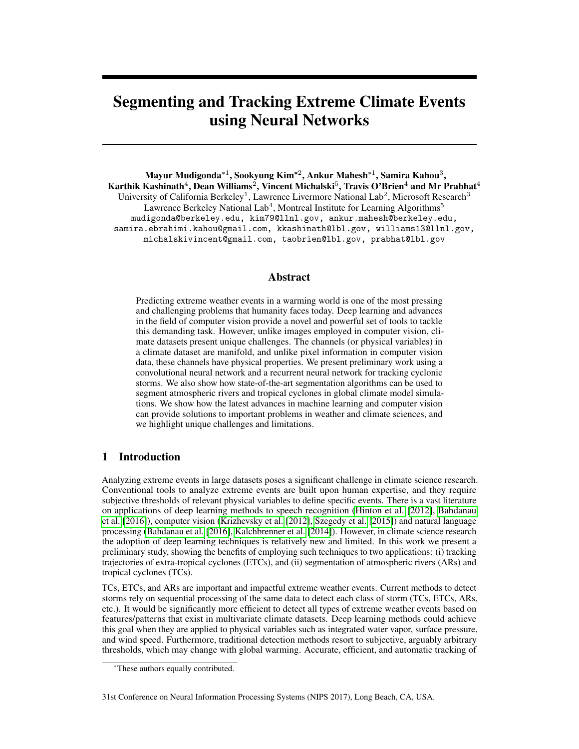# <span id="page-0-0"></span>Segmenting and Tracking Extreme Climate Events using Neural Networks

Mayur Mudigonda\* $^1$ , Sookyung Kim\* $^2$ , Ankur Mahesh\* $^1$ , Samira Kahou $^3,$ Karthik Kashinath $^4$ , Dean Williams $^2$ , Vincent Michalski $^5$ , Travis O'Brien $^4$  and Mr Prabhat $^4$ University of California Berkeley<sup>1</sup>, Lawrence Livermore National Lab<sup>2</sup>, Microsoft Research<sup>3</sup> Lawrence Berkeley National Lab<sup>4</sup>, Montreal Institute for Learning Algorithms<sup>5</sup> mudigonda@berkeley.edu, kim79@llnl.gov, ankur.mahesh@berkeley.edu, samira.ebrahimi.kahou@gmail.com, kkashinath@lbl.gov, williams13@llnl.gov, michalskivincent@gmail.com, taobrien@lbl.gov, prabhat@lbl.gov

### Abstract

Predicting extreme weather events in a warming world is one of the most pressing and challenging problems that humanity faces today. Deep learning and advances in the field of computer vision provide a novel and powerful set of tools to tackle this demanding task. However, unlike images employed in computer vision, climate datasets present unique challenges. The channels (or physical variables) in a climate dataset are manifold, and unlike pixel information in computer vision data, these channels have physical properties. We present preliminary work using a convolutional neural network and a recurrent neural network for tracking cyclonic storms. We also show how state-of-the-art segmentation algorithms can be used to segment atmospheric rivers and tropical cyclones in global climate model simulations. We show how the latest advances in machine learning and computer vision can provide solutions to important problems in weather and climate sciences, and we highlight unique challenges and limitations.

## 1 Introduction

Analyzing extreme events in large datasets poses a significant challenge in climate science research. Conventional tools to analyze extreme events are built upon human expertise, and they require subjective thresholds of relevant physical variables to define specific events. There is a vast literature on applications of deep learning methods to speech recognition [\(Hinton et al.](#page-4-0) [\[2012\]](#page-4-0), [Bahdanau](#page-4-1) [et al.](#page-4-1) [\[2016\]](#page-4-1)), computer vision [\(Krizhevsky et al.](#page-4-2) [\[2012\]](#page-4-2), [Szegedy et al.](#page-4-3) [\[2015\]](#page-4-3)) and natural language processing [\(Bahdanau et al.](#page-4-1) [\[2016\]](#page-4-1), [Kalchbrenner et al.](#page-4-4) [\[2014\]](#page-4-4)). However, in climate science research the adoption of deep learning techniques is relatively new and limited. In this work we present a preliminary study, showing the benefits of employing such techniques to two applications: (i) tracking trajectories of extra-tropical cyclones (ETCs), and (ii) segmentation of atmospheric rivers (ARs) and tropical cyclones (TCs).

TCs, ETCs, and ARs are important and impactful extreme weather events. Current methods to detect storms rely on sequential processing of the same data to detect each class of storm (TCs, ETCs, ARs, etc.). It would be significantly more efficient to detect all types of extreme weather events based on features/patterns that exist in multivariate climate datasets. Deep learning methods could achieve this goal when they are applied to physical variables such as integrated water vapor, surface pressure, and wind speed. Furthermore, traditional detection methods resort to subjective, arguably arbitrary thresholds, which may change with global warming. Accurate, efficient, and automatic tracking of

<sup>∗</sup>These authors equally contributed.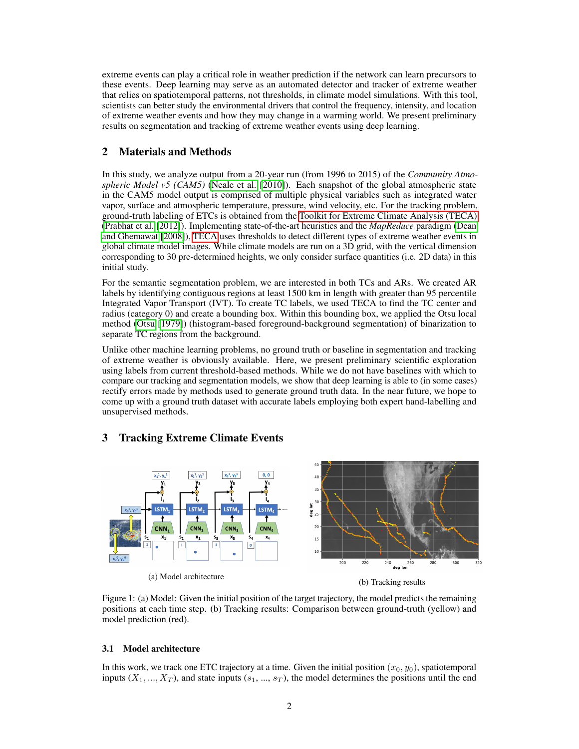extreme events can play a critical role in weather prediction if the network can learn precursors to these events. Deep learning may serve as an automated detector and tracker of extreme weather that relies on spatiotemporal patterns, not thresholds, in climate model simulations. With this tool, scientists can better study the environmental drivers that control the frequency, intensity, and location of extreme weather events and how they may change in a warming world. We present preliminary results on segmentation and tracking of extreme weather events using deep learning.

# 2 Materials and Methods

In this study, we analyze output from a 20-year run (from 1996 to 2015) of the *Community Atmospheric Model v5 (CAM5)* [\(Neale et al.](#page-4-5) [\[2010\]](#page-4-5)). Each snapshot of the global atmospheric state in the CAM5 model output is comprised of multiple physical variables such as integrated water vapor, surface and atmospheric temperature, pressure, wind velocity, etc. For the tracking problem, ground-truth labeling of ETCs is obtained from the [Toolkit for Extreme Climate Analysis \(TECA\)](#page-0-0) [\(Prabhat et al.](#page-4-6) [\[2012\]](#page-4-6)). Implementing state-of-the-art heuristics and the *MapReduce* paradigm [\(Dean](#page-4-7) [and Ghemawat](#page-4-7) [\[2008\]](#page-4-7)), [TECA](#page-0-0) uses thresholds to detect different types of extreme weather events in global climate model images. While climate models are run on a 3D grid, with the vertical dimension corresponding to 30 pre-determined heights, we only consider surface quantities (i.e. 2D data) in this initial study.

For the semantic segmentation problem, we are interested in both TCs and ARs. We created AR labels by identifying contiguous regions at least 1500 km in length with greater than 95 percentile Integrated Vapor Transport (IVT). To create TC labels, we used TECA to find the TC center and radius (category 0) and create a bounding box. Within this bounding box, we applied the Otsu local method [\(Otsu](#page-4-8) [\[1979\]](#page-4-8)) (histogram-based foreground-background segmentation) of binarization to separate TC regions from the background.

Unlike other machine learning problems, no ground truth or baseline in segmentation and tracking of extreme weather is obviously available. Here, we present preliminary scientific exploration using labels from current threshold-based methods. While we do not have baselines with which to compare our tracking and segmentation models, we show that deep learning is able to (in some cases) rectify errors made by methods used to generate ground truth data. In the near future, we hope to come up with a ground truth dataset with accurate labels employing both expert hand-labelling and unsupervised methods.

## 3 Tracking Extreme Climate Events

<span id="page-1-0"></span>

Figure 1: (a) Model: Given the initial position of the target trajectory, the model predicts the remaining positions at each time step. (b) Tracking results: Comparison between ground-truth (yellow) and model prediction (red).

#### 3.1 Model architecture

In this work, we track one ETC trajectory at a time. Given the initial position  $(x_0, y_0)$ , spatiotemporal inputs  $(X_1, ..., X_T)$ , and state inputs  $(s_1, ..., s_T)$ , the model determines the positions until the end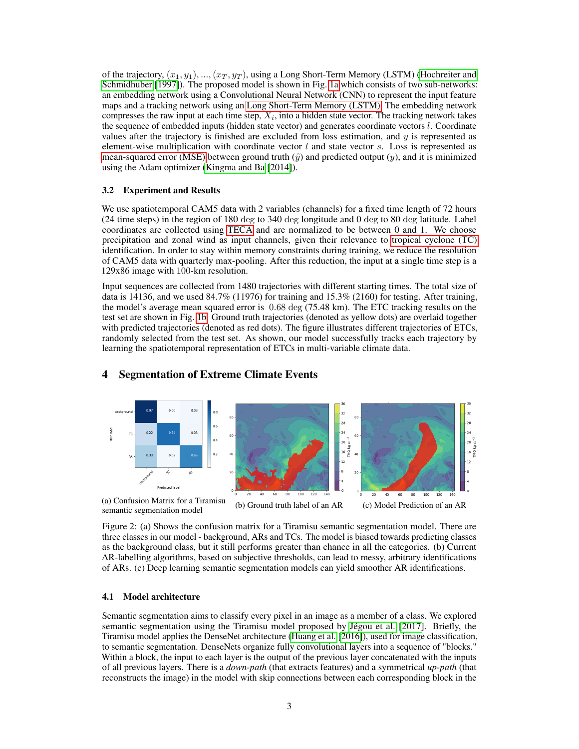of the trajectory,  $(x_1, y_1), ..., (x_T, y_T)$ , using a Long Short-Term Memory (LSTM) [\(Hochreiter and](#page-4-9) [Schmidhuber](#page-4-9) [\[1997\]](#page-4-9)). The proposed model is shown in Fig. [1a](#page-1-0) which consists of two sub-networks: an embedding network using a Convolutional Neural Network (CNN) to represent the input feature maps and a tracking network using an [Long Short-Term Memory \(LSTM\).](#page-0-0) The embedding network compresses the raw input at each time step,  $X_i$ , into a hidden state vector. The tracking network takes the sequence of embedded inputs (hidden state vector) and generates coordinate vectors l. Coordinate values after the trajectory is finished are excluded from loss estimation, and  $y$  is represented as element-wise multiplication with coordinate vector  $l$  and state vector s. Loss is represented as [mean-squared error \(MSE\)](#page-0-0) between ground truth  $(\hat{y})$  and predicted output  $(y)$ , and it is minimized using the Adam optimizer [\(Kingma and Ba](#page-4-10) [\[2014\]](#page-4-10)).

#### 3.2 Experiment and Results

We use spatiotemporal CAM5 data with 2 variables (channels) for a fixed time length of 72 hours (24 time steps) in the region of 180 deg to 340 deg longitude and 0 deg to 80 deg latitude. Label coordinates are collected using [TECA](#page-0-0) and are normalized to be between 0 and 1. We choose precipitation and zonal wind as input channels, given their relevance to [tropical cyclone \(TC\)](#page-0-0) identification. In order to stay within memory constraints during training, we reduce the resolution of CAM5 data with quarterly max-pooling. After this reduction, the input at a single time step is a 129x86 image with 100-km resolution.

Input sequences are collected from 1480 trajectories with different starting times. The total size of data is 14136, and we used  $84.7\%$  (11976) for training and 15.3% (2160) for testing. After training, the model's average mean squared error is 0.68 deg (75.48 km). The ETC tracking results on the test set are shown in Fig. [1b.](#page-1-0) Ground truth trajectories (denoted as yellow dots) are overlaid together with predicted trajectories (denoted as red dots). The figure illustrates different trajectories of ETCs, randomly selected from the test set. As shown, our model successfully tracks each trajectory by learning the spatiotemporal representation of ETCs in multi-variable climate data.



## 4 Segmentation of Extreme Climate Events

Figure 2: (a) Shows the confusion matrix for a Tiramisu semantic segmentation model. There are three classes in our model - background, ARs and TCs. The model is biased towards predicting classes as the background class, but it still performs greater than chance in all the categories. (b) Current AR-labelling algorithms, based on subjective thresholds, can lead to messy, arbitrary identifications of ARs. (c) Deep learning semantic segmentation models can yield smoother AR identifications.

#### 4.1 Model architecture

Semantic segmentation aims to classify every pixel in an image as a member of a class. We explored semantic segmentation using the Tiramisu model proposed by [Jégou et al.](#page-4-11) [\[2017\]](#page-4-11). Briefly, the Tiramisu model applies the DenseNet architecture [\(Huang et al.](#page-4-12) [\[2016\]](#page-4-12)), used for image classification, to semantic segmentation. DenseNets organize fully convolutional layers into a sequence of "blocks." Within a block, the input to each layer is the output of the previous layer concatenated with the inputs of all previous layers. There is a *down-path* (that extracts features) and a symmetrical *up-path* (that reconstructs the image) in the model with skip connections between each corresponding block in the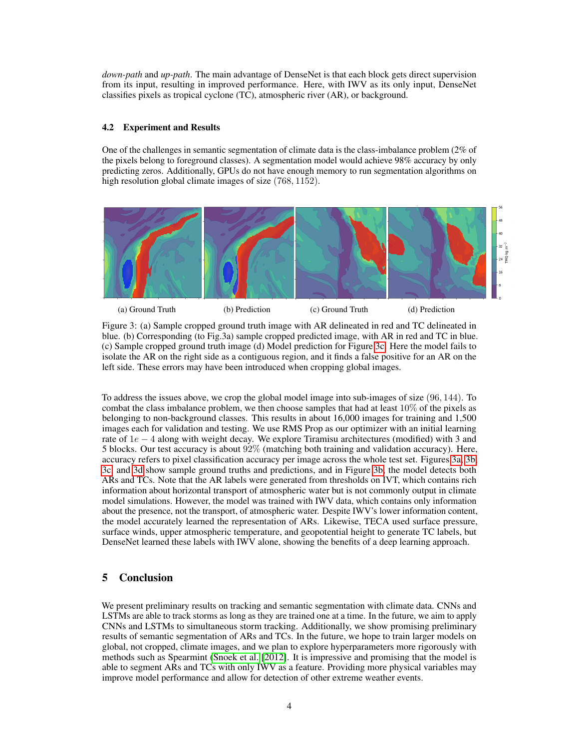*down-path* and *up-path*. The main advantage of DenseNet is that each block gets direct supervision from its input, resulting in improved performance. Here, with IWV as its only input, DenseNet classifies pixels as tropical cyclone (TC), atmospheric river (AR), or background.

#### 4.2 Experiment and Results

One of the challenges in semantic segmentation of climate data is the class-imbalance problem (2% of the pixels belong to foreground classes). A segmentation model would achieve 98% accuracy by only predicting zeros. Additionally, GPUs do not have enough memory to run segmentation algorithms on high resolution global climate images of size  $(768, 1152)$ .

<span id="page-3-0"></span>



Figure 3: (a) Sample cropped ground truth image with AR delineated in red and TC delineated in blue. (b) Corresponding (to Fig.3a) sample cropped predicted image, with AR in red and TC in blue. (c) Sample cropped ground truth image (d) Model prediction for Figure [3c.](#page-3-0) Here the model fails to isolate the AR on the right side as a contiguous region, and it finds a false positive for an AR on the left side. These errors may have been introduced when cropping global images.

To address the issues above, we crop the global model image into sub-images of size (96, 144). To combat the class imbalance problem, we then choose samples that had at least  $10\%$  of the pixels as belonging to non-background classes. This results in about 16,000 images for training and 1,500 images each for validation and testing. We use RMS Prop as our optimizer with an initial learning rate of 1e − 4 along with weight decay. We explore Tiramisu architectures (modified) with 3 and 5 blocks. Our test accuracy is about 92% (matching both training and validation accuracy). Here, accuracy refers to pixel classification accuracy per image across the whole test set. Figures [3a, 3b,](#page-3-0) [3c,](#page-3-0) and [3d](#page-3-0) show sample ground truths and predictions, and in Figure [3b,](#page-3-0) the model detects both ARs and TCs. Note that the AR labels were generated from thresholds on IVT, which contains rich information about horizontal transport of atmospheric water but is not commonly output in climate model simulations. However, the model was trained with IWV data, which contains only information about the presence, not the transport, of atmospheric water. Despite IWV's lower information content, the model accurately learned the representation of ARs. Likewise, TECA used surface pressure, surface winds, upper atmospheric temperature, and geopotential height to generate TC labels, but DenseNet learned these labels with IWV alone, showing the benefits of a deep learning approach.

# 5 Conclusion

We present preliminary results on tracking and semantic segmentation with climate data. CNNs and LSTMs are able to track storms as long as they are trained one at a time. In the future, we aim to apply CNNs and LSTMs to simultaneous storm tracking. Additionally, we show promising preliminary results of semantic segmentation of ARs and TCs. In the future, we hope to train larger models on global, not cropped, climate images, and we plan to explore hyperparameters more rigorously with methods such as Spearmint [\(Snoek et al.](#page-4-13) [\[2012\]](#page-4-13). It is impressive and promising that the model is able to segment ARs and TCs with only IWV as a feature. Providing more physical variables may improve model performance and allow for detection of other extreme weather events.